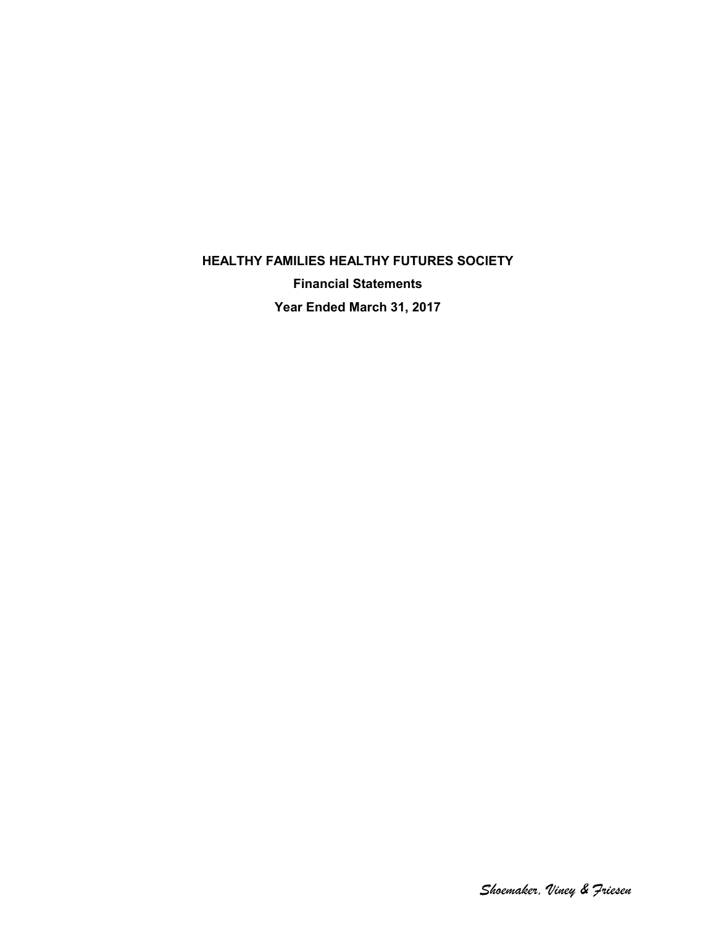**HEALTHY FAMILIES HEALTHY FUTURES SOCIETY Financial Statements Year Ended March 31, 2017**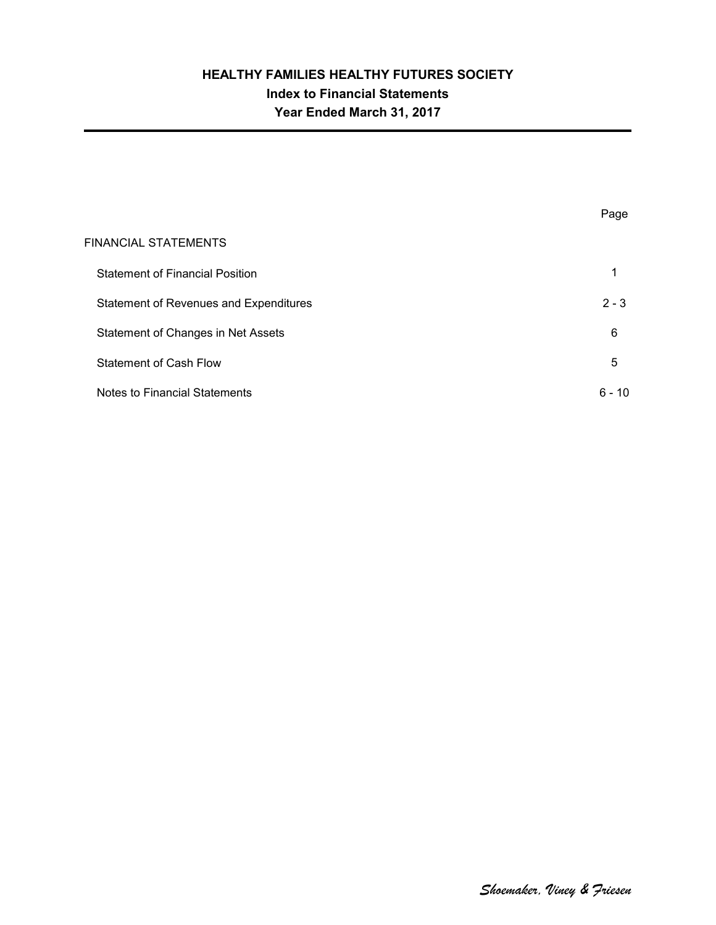# **HEALTHY FAMILIES HEALTHY FUTURES SOCIETY Index to Financial Statements Year Ended March 31, 2017**

|                                        | Page     |
|----------------------------------------|----------|
| FINANCIAL STATEMENTS                   |          |
| <b>Statement of Financial Position</b> |          |
| Statement of Revenues and Expenditures | $2 - 3$  |
| Statement of Changes in Net Assets     | 6        |
| <b>Statement of Cash Flow</b>          | 5        |
| Notes to Financial Statements          | $6 - 10$ |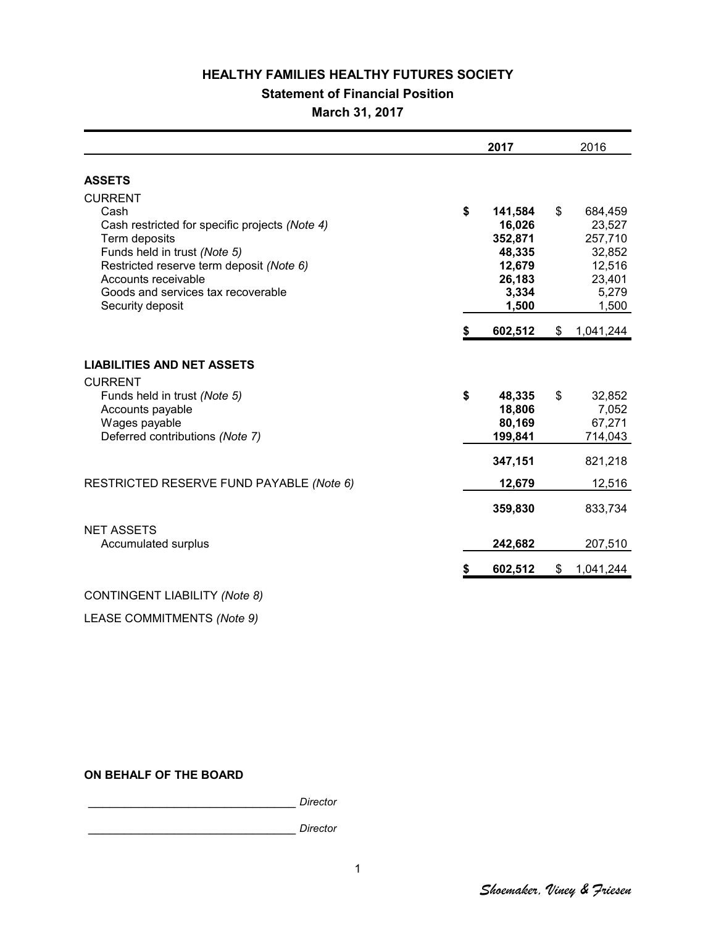#### **Statement of Financial Position**

**March 31, 2017**

|                                                                                                                                                                                                                                                        | 2017                                                                               |    | 2016                                                                         |  |
|--------------------------------------------------------------------------------------------------------------------------------------------------------------------------------------------------------------------------------------------------------|------------------------------------------------------------------------------------|----|------------------------------------------------------------------------------|--|
| <b>ASSETS</b>                                                                                                                                                                                                                                          |                                                                                    |    |                                                                              |  |
| <b>CURRENT</b><br>Cash<br>Cash restricted for specific projects (Note 4)<br>Term deposits<br>Funds held in trust (Note 5)<br>Restricted reserve term deposit (Note 6)<br>Accounts receivable<br>Goods and services tax recoverable<br>Security deposit | \$<br>141,584<br>16,026<br>352,871<br>48,335<br>12,679<br>26,183<br>3,334<br>1,500 | \$ | 684,459<br>23,527<br>257,710<br>32,852<br>12,516<br>23,401<br>5,279<br>1,500 |  |
|                                                                                                                                                                                                                                                        | \$<br>602,512                                                                      | \$ | 1,041,244                                                                    |  |
| <b>LIABILITIES AND NET ASSETS</b><br><b>CURRENT</b><br>Funds held in trust (Note 5)<br>Accounts payable<br>Wages payable<br>Deferred contributions (Note 7)                                                                                            | \$<br>48,335<br>18,806<br>80,169<br>199,841                                        | \$ | 32,852<br>7,052<br>67,271<br>714,043                                         |  |
| RESTRICTED RESERVE FUND PAYABLE (Note 6)                                                                                                                                                                                                               | 347,151<br>12,679                                                                  |    | 821,218<br>12,516                                                            |  |
| <b>NET ASSETS</b><br>Accumulated surplus                                                                                                                                                                                                               | 359,830<br>242,682                                                                 |    | 833,734<br>207,510                                                           |  |
|                                                                                                                                                                                                                                                        | \$<br>602,512                                                                      | \$ | 1,041,244                                                                    |  |
| CONTINGENT LIABILITY (Note 8)                                                                                                                                                                                                                          |                                                                                    |    |                                                                              |  |

LEASE COMMITMENTS *(Note 9)*

#### **ON BEHALF OF THE BOARD**

\_\_\_\_\_\_\_\_\_\_\_\_\_\_\_\_\_\_\_\_\_\_\_\_\_\_\_\_\_ *Director* \_\_\_\_\_\_\_\_\_\_\_\_\_\_\_\_\_\_\_\_\_\_\_\_\_\_\_\_\_ *Director*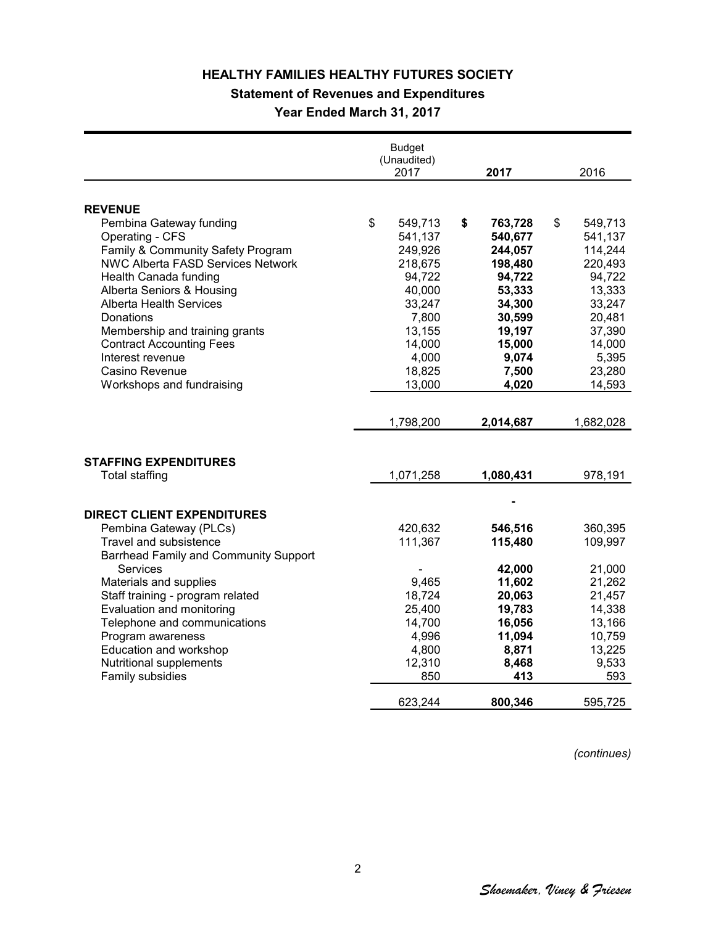### **Statement of Revenues and Expenditures**

**Year Ended March 31, 2017**

|                                              | <b>Budget</b><br>(Unaudited) |               |               |
|----------------------------------------------|------------------------------|---------------|---------------|
|                                              | 2017                         | 2017          | 2016          |
|                                              |                              |               |               |
| <b>REVENUE</b>                               |                              |               |               |
| Pembina Gateway funding                      | \$<br>549,713                | \$<br>763,728 | \$<br>549,713 |
| Operating - CFS                              | 541,137                      | 540,677       | 541,137       |
| Family & Community Safety Program            | 249,926                      | 244,057       | 114,244       |
| <b>NWC Alberta FASD Services Network</b>     | 218,675                      | 198,480       | 220,493       |
| Health Canada funding                        | 94,722                       | 94,722        | 94,722        |
| Alberta Seniors & Housing                    | 40,000                       | 53,333        | 13,333        |
| <b>Alberta Health Services</b>               | 33,247                       | 34,300        | 33,247        |
| Donations                                    | 7,800                        | 30,599        | 20,481        |
| Membership and training grants               | 13,155                       | 19,197        | 37,390        |
| <b>Contract Accounting Fees</b>              | 14,000                       | 15,000        | 14,000        |
| Interest revenue                             | 4,000                        | 9,074         | 5,395         |
| Casino Revenue                               | 18,825                       | 7,500         | 23,280        |
| Workshops and fundraising                    | 13,000                       | 4,020         | 14,593        |
|                                              |                              |               |               |
|                                              |                              |               |               |
|                                              | 1,798,200                    | 2,014,687     | 1,682,028     |
|                                              |                              |               |               |
| <b>STAFFING EXPENDITURES</b>                 |                              |               |               |
| <b>Total staffing</b>                        | 1,071,258                    | 1,080,431     | 978,191       |
|                                              |                              |               |               |
|                                              |                              |               |               |
| <b>DIRECT CLIENT EXPENDITURES</b>            |                              |               |               |
| Pembina Gateway (PLCs)                       | 420,632                      | 546,516       | 360,395       |
| Travel and subsistence                       | 111,367                      | 115,480       | 109,997       |
| <b>Barrhead Family and Community Support</b> |                              |               |               |
| Services                                     |                              | 42,000        | 21,000        |
| Materials and supplies                       | 9,465                        | 11,602        | 21,262        |
| Staff training - program related             | 18,724                       | 20,063        | 21,457        |
| Evaluation and monitoring                    | 25,400                       | 19,783        | 14,338        |
| Telephone and communications                 | 14,700                       | 16,056        | 13,166        |
| Program awareness                            | 4,996                        | 11,094        | 10,759        |
| Education and workshop                       | 4,800                        | 8,871         | 13,225        |
| Nutritional supplements                      | 12,310                       | 8,468         | 9,533         |
| Family subsidies                             | 850                          | 413           | 593           |
|                                              |                              |               |               |
|                                              | 623,244                      | 800,346       | 595,725       |

*(continues)*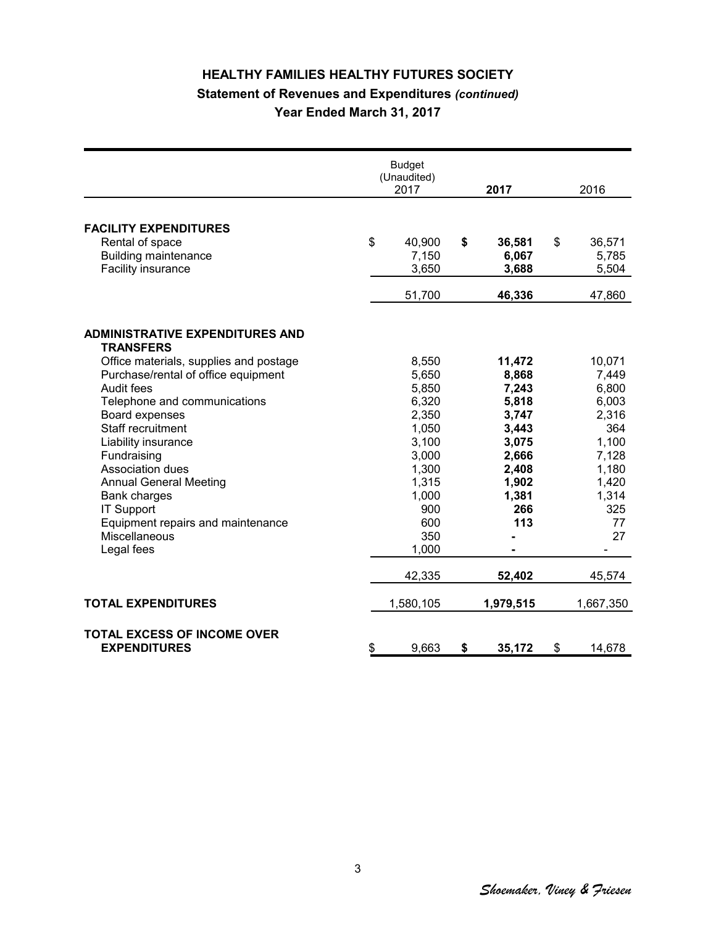# **HEALTHY FAMILIES HEALTHY FUTURES SOCIETY Statement of Revenues and Expenditures** *(continued)* **Year Ended March 31, 2017**

|                                                            | <b>Budget</b><br>(Unaudited)<br>2017 | 2017         | 2016                     |
|------------------------------------------------------------|--------------------------------------|--------------|--------------------------|
|                                                            |                                      |              |                          |
| <b>FACILITY EXPENDITURES</b>                               |                                      |              |                          |
| Rental of space                                            | \$<br>40,900                         | \$<br>36,581 | \$<br>36,571             |
| <b>Building maintenance</b>                                | 7,150                                | 6,067        | 5,785                    |
| Facility insurance                                         | 3,650                                | 3,688        | 5,504                    |
|                                                            | 51,700                               | 46,336       | 47,860                   |
|                                                            |                                      |              |                          |
| <b>ADMINISTRATIVE EXPENDITURES AND</b><br><b>TRANSFERS</b> |                                      |              |                          |
| Office materials, supplies and postage                     | 8,550                                | 11,472       | 10,071                   |
| Purchase/rental of office equipment                        | 5,650                                | 8,868        | 7,449                    |
| Audit fees                                                 | 5,850                                | 7,243        | 6,800                    |
| Telephone and communications                               | 6,320                                | 5,818        | 6,003                    |
| Board expenses                                             | 2,350                                | 3,747        | 2,316                    |
| Staff recruitment                                          | 1,050                                | 3,443        | 364                      |
| Liability insurance                                        | 3,100                                | 3,075        | 1,100                    |
| Fundraising                                                | 3,000                                | 2,666        | 7,128                    |
| Association dues                                           | 1,300                                | 2,408        | 1,180                    |
| <b>Annual General Meeting</b>                              | 1,315                                | 1,902        | 1,420                    |
| <b>Bank charges</b>                                        | 1,000                                | 1,381        | 1,314                    |
| <b>IT Support</b>                                          | 900                                  | 266          | 325                      |
| Equipment repairs and maintenance                          | 600                                  | 113          | 77                       |
| Miscellaneous                                              | 350                                  |              | 27                       |
| Legal fees                                                 | 1,000                                |              |                          |
|                                                            |                                      |              | $\overline{\phantom{0}}$ |
|                                                            | 42,335                               | 52,402       | 45,574                   |
| <b>TOTAL EXPENDITURES</b>                                  | 1,580,105                            | 1,979,515    | 1,667,350                |
| <b>TOTAL EXCESS OF INCOME OVER</b><br><b>EXPENDITURES</b>  | \$<br>9,663                          | \$<br>35,172 | \$<br>14,678             |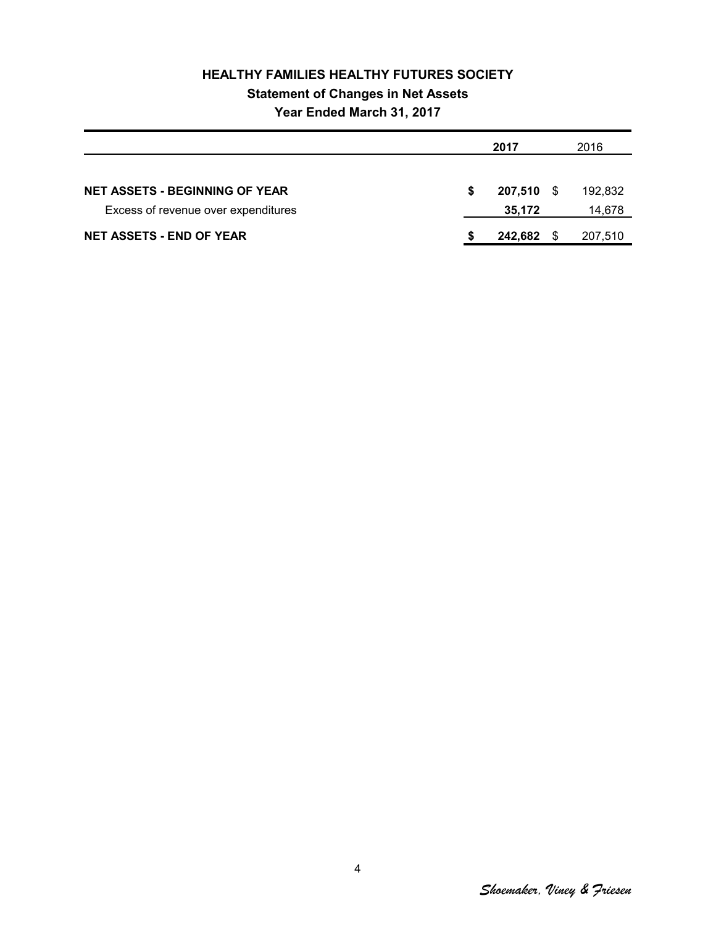# **HEALTHY FAMILIES HEALTHY FUTURES SOCIETY Statement of Changes in Net Assets Year Ended March 31, 2017**

|                                       |   | 2017       |    |         |
|---------------------------------------|---|------------|----|---------|
|                                       |   |            |    |         |
| <b>NET ASSETS - BEGINNING OF YEAR</b> | S | 207,510 \$ |    | 192.832 |
| Excess of revenue over expenditures   |   | 35,172     |    | 14,678  |
| <b>NET ASSETS - END OF YEAR</b>       |   | 242,682    | -S | 207,510 |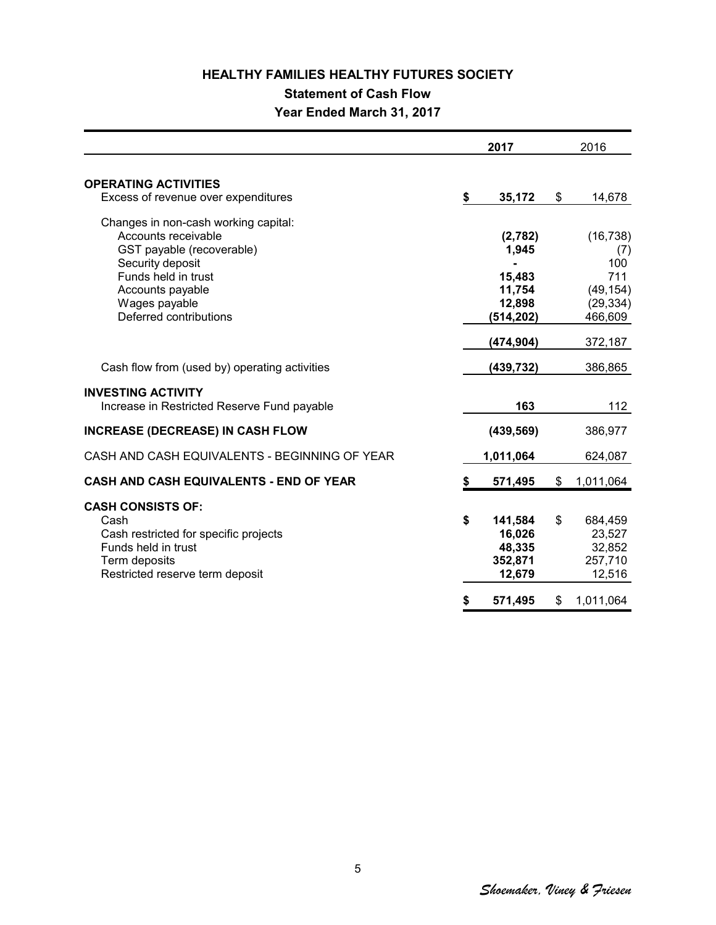## **HEALTHY FAMILIES HEALTHY FUTURES SOCIETY Statement of Cash Flow**

# **Year Ended March 31, 2017**

|                                                                                                                                                                                                    |    | 2017                                                                       | 2016                                                                           |
|----------------------------------------------------------------------------------------------------------------------------------------------------------------------------------------------------|----|----------------------------------------------------------------------------|--------------------------------------------------------------------------------|
| <b>OPERATING ACTIVITIES</b><br>Excess of revenue over expenditures                                                                                                                                 | \$ | 35,172                                                                     | \$<br>14,678                                                                   |
| Changes in non-cash working capital:<br>Accounts receivable<br>GST payable (recoverable)<br>Security deposit<br>Funds held in trust<br>Accounts payable<br>Wages payable<br>Deferred contributions |    | (2,782)<br>1,945<br>15,483<br>11,754<br>12,898<br>(514, 202)<br>(474, 904) | (16, 738)<br>(7)<br>100<br>711<br>(49, 154)<br>(29, 334)<br>466,609<br>372,187 |
| Cash flow from (used by) operating activities                                                                                                                                                      |    | (439, 732)                                                                 | 386,865                                                                        |
| <b>INVESTING ACTIVITY</b><br>Increase in Restricted Reserve Fund payable                                                                                                                           |    | 163                                                                        | 112                                                                            |
| <b>INCREASE (DECREASE) IN CASH FLOW</b>                                                                                                                                                            |    | (439, 569)                                                                 | 386,977                                                                        |
| CASH AND CASH EQUIVALENTS - BEGINNING OF YEAR                                                                                                                                                      |    | 1,011,064                                                                  | 624,087                                                                        |
| CASH AND CASH EQUIVALENTS - END OF YEAR                                                                                                                                                            | S  | 571,495                                                                    | \$<br>1,011,064                                                                |
| <b>CASH CONSISTS OF:</b><br>Cash<br>Cash restricted for specific projects<br>Funds held in trust<br>Term deposits<br>Restricted reserve term deposit                                               | \$ | 141,584<br>16,026<br>48,335<br>352,871<br>12,679                           | \$<br>684,459<br>23,527<br>32,852<br>257,710<br>12,516                         |
|                                                                                                                                                                                                    | S  | 571,495                                                                    | \$<br>1,011,064                                                                |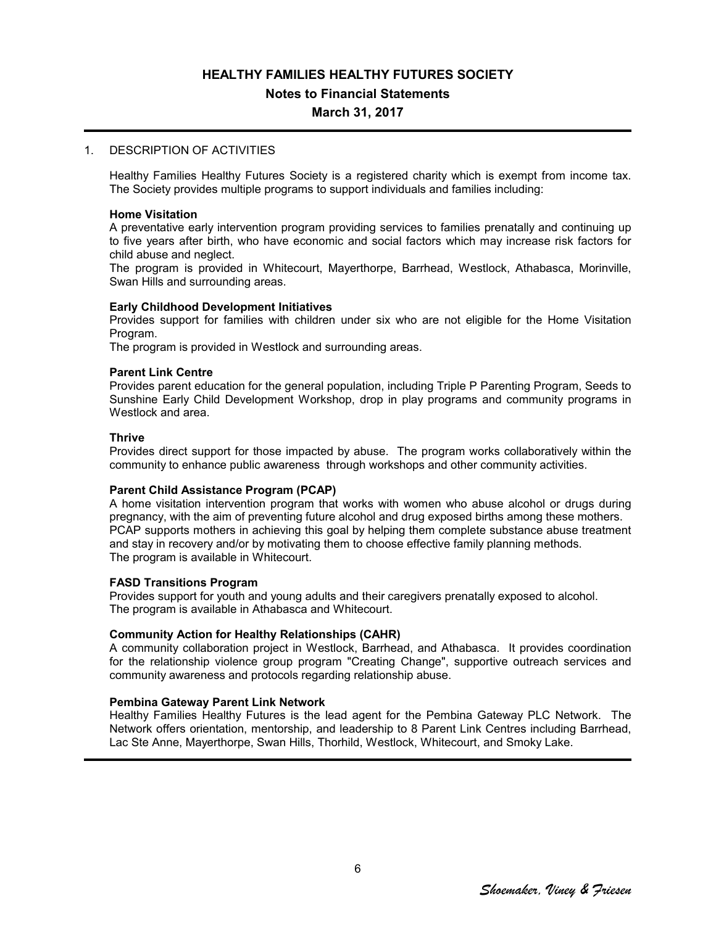**Notes to Financial Statements**

#### **March 31, 2017**

#### 1. DESCRIPTION OF ACTIVITIES

Healthy Families Healthy Futures Society is a registered charity which is exempt from income tax. The Society provides multiple programs to support individuals and families including:

#### **Home Visitation**

A preventative early intervention program providing services to families prenatally and continuing up to five years after birth, who have economic and social factors which may increase risk factors for child abuse and neglect.

The program is provided in Whitecourt, Mayerthorpe, Barrhead, Westlock, Athabasca, Morinville, Swan Hills and surrounding areas.

#### **Early Childhood Development Initiatives**

Provides support for families with children under six who are not eligible for the Home Visitation Program.

The program is provided in Westlock and surrounding areas.

#### **Parent Link Centre**

Provides parent education for the general population, including Triple P Parenting Program, Seeds to Sunshine Early Child Development Workshop, drop in play programs and community programs in Westlock and area.

#### **Thrive**

Provides direct support for those impacted by abuse. The program works collaboratively within the community to enhance public awareness through workshops and other community activities.

#### **Parent Child Assistance Program (PCAP)**

A home visitation intervention program that works with women who abuse alcohol or drugs during pregnancy, with the aim of preventing future alcohol and drug exposed births among these mothers. PCAP supports mothers in achieving this goal by helping them complete substance abuse treatment and stay in recovery and/or by motivating them to choose effective family planning methods. The program is available in Whitecourt.

#### **FASD Transitions Program**

Provides support for youth and young adults and their caregivers prenatally exposed to alcohol. The program is available in Athabasca and Whitecourt.

#### **Community Action for Healthy Relationships (CAHR)**

A community collaboration project in Westlock, Barrhead, and Athabasca. It provides coordination for the relationship violence group program "Creating Change", supportive outreach services and community awareness and protocols regarding relationship abuse.

#### **Pembina Gateway Parent Link Network**

Healthy Families Healthy Futures is the lead agent for the Pembina Gateway PLC Network. The Network offers orientation, mentorship, and leadership to 8 Parent Link Centres including Barrhead, Lac Ste Anne, Mayerthorpe, Swan Hills, Thorhild, Westlock, Whitecourt, and Smoky Lake.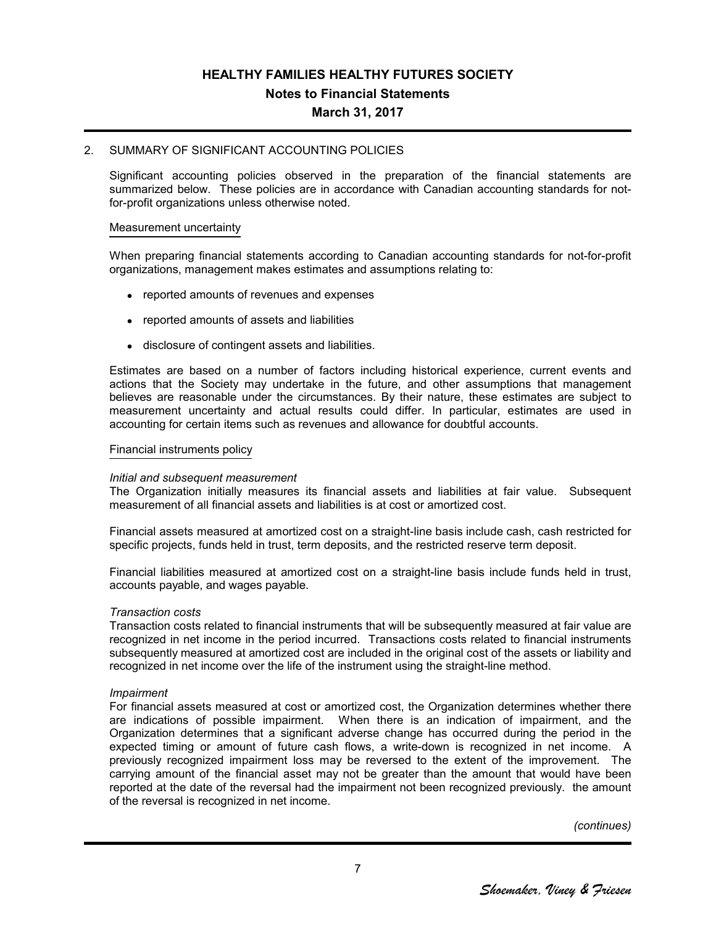# **HEALTHY FAMILIES HEALTHY FUTURES SOCIETY Notes to Financial Statements**

#### **March 31, 2017**

#### 2. SUMMARY OF SIGNIFICANT ACCOUNTING POLICIES

Significant accounting policies observed in the preparation of the financial statements are summarized below. These policies are in accordance with Canadian accounting standards for notfor-profit organizations unless otherwise noted.

#### Measurement uncertainty

When preparing financial statements according to Canadian accounting standards for not-for-profit organizations, management makes estimates and assumptions relating to:

- reported amounts of revenues and expenses
- reported amounts of assets and liabilities
- disclosure of contingent assets and liabilities.

Estimates are based on a number of factors including historical experience, current events and actions that the Society may undertake in the future, and other assumptions that management believes are reasonable under the circumstances. By their nature, these estimates are subject to measurement uncertainty and actual results could differ. In particular, estimates are used in accounting for certain items such as revenues and allowance for doubtful accounts.

#### Financial instruments policy

#### *Initial and subsequent measurement*

The Organization initially measures its financial assets and liabilities at fair value. Subsequent measurement of all financial assets and liabilities is at cost or amortized cost.

Financial assets measured at amortized cost on a straight-line basis include cash, cash restricted for specific projects, funds held in trust, term deposits, and the restricted reserve term deposit.

Financial liabilities measured at amortized cost on a straight-line basis include funds held in trust, accounts payable, and wages payable.

#### *Transaction costs*

Transaction costs related to financial instruments that will be subsequently measured at fair value are recognized in net income in the period incurred. Transactions costs related to financial instruments subsequently measured at amortized cost are included in the original cost of the assets or liability and recognized in net income over the life of the instrument using the straight-line method.

#### *Impairment*

For financial assets measured at cost or amortized cost, the Organization determines whether there are indications of possible impairment. When there is an indication of impairment, and the Organization determines that a significant adverse change has occurred during the period in the expected timing or amount of future cash flows, a write-down is recognized in net income. A previously recognized impairment loss may be reversed to the extent of the improvement. The carrying amount of the financial asset may not be greater than the amount that would have been reported at the date of the reversal had the impairment not been recognized previously. the amount of the reversal is recognized in net income.

*(continues)*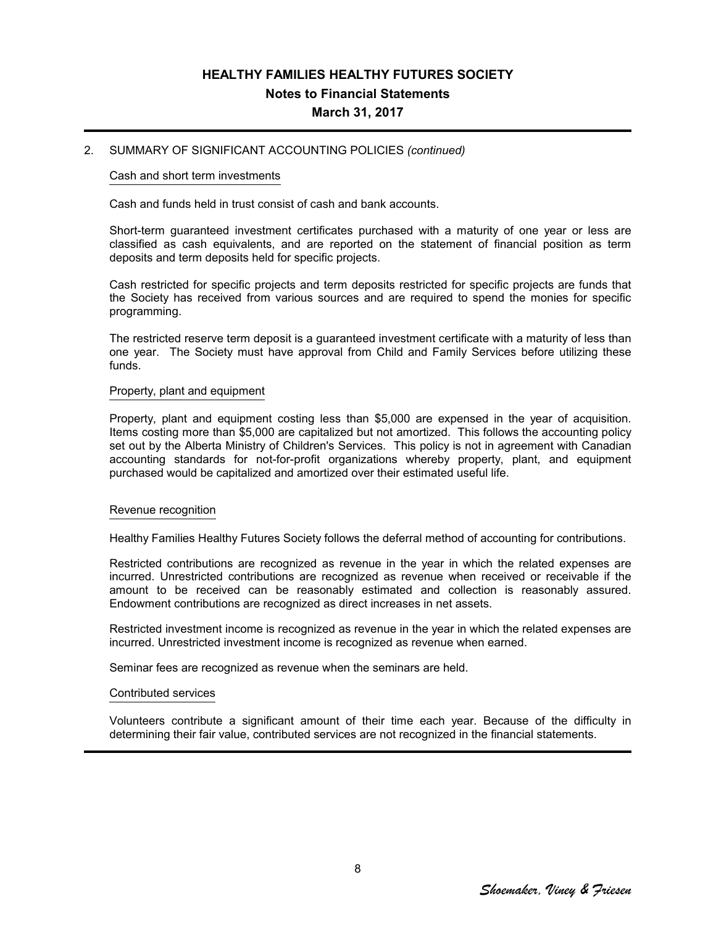## **HEALTHY FAMILIES HEALTHY FUTURES SOCIETY Notes to Financial Statements March 31, 2017**

#### 2. SUMMARY OF SIGNIFICANT ACCOUNTING POLICIES *(continued)*

#### Cash and short term investments

Cash and funds held in trust consist of cash and bank accounts.

Short-term guaranteed investment certificates purchased with a maturity of one year or less are classified as cash equivalents, and are reported on the statement of financial position as term deposits and term deposits held for specific projects.

Cash restricted for specific projects and term deposits restricted for specific projects are funds that the Society has received from various sources and are required to spend the monies for specific programming.

The restricted reserve term deposit is a guaranteed investment certificate with a maturity of less than one year. The Society must have approval from Child and Family Services before utilizing these funds.

#### Property, plant and equipment

Property, plant and equipment costing less than \$5,000 are expensed in the year of acquisition. Items costing more than \$5,000 are capitalized but not amortized. This follows the accounting policy set out by the Alberta Ministry of Children's Services. This policy is not in agreement with Canadian accounting standards for not-for-profit organizations whereby property, plant, and equipment purchased would be capitalized and amortized over their estimated useful life.

#### Revenue recognition

Healthy Families Healthy Futures Society follows the deferral method of accounting for contributions.

Restricted contributions are recognized as revenue in the year in which the related expenses are incurred. Unrestricted contributions are recognized as revenue when received or receivable if the amount to be received can be reasonably estimated and collection is reasonably assured. Endowment contributions are recognized as direct increases in net assets.

Restricted investment income is recognized as revenue in the year in which the related expenses are incurred. Unrestricted investment income is recognized as revenue when earned.

Seminar fees are recognized as revenue when the seminars are held.

#### Contributed services

Volunteers contribute a significant amount of their time each year. Because of the difficulty in determining their fair value, contributed services are not recognized in the financial statements.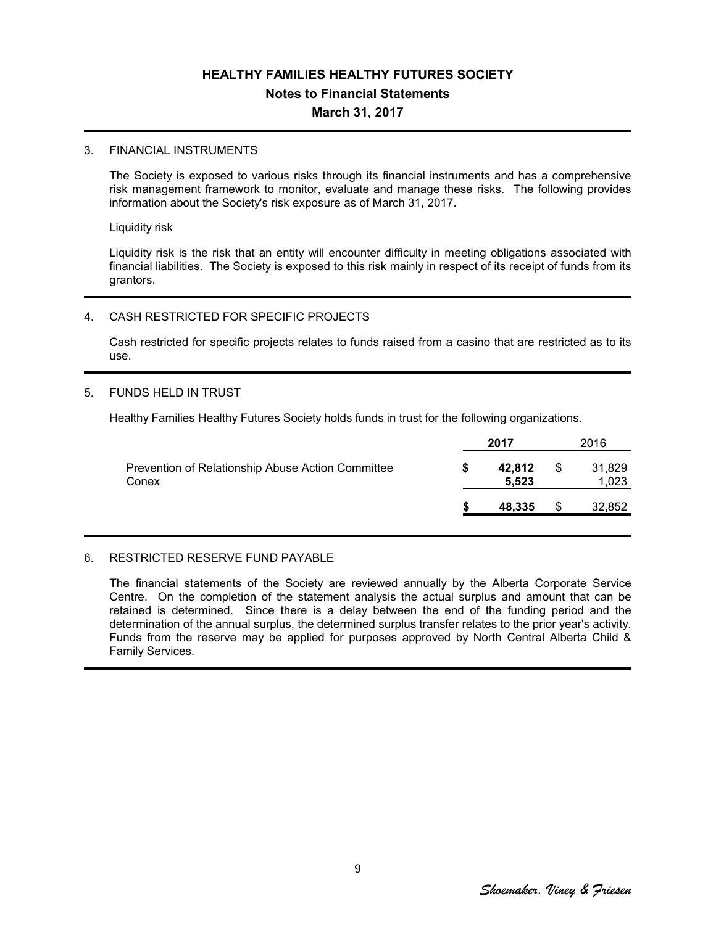## **HEALTHY FAMILIES HEALTHY FUTURES SOCIETY Notes to Financial Statements March 31, 2017**

#### 3. FINANCIAL INSTRUMENTS

The Society is exposed to various risks through its financial instruments and has a comprehensive risk management framework to monitor, evaluate and manage these risks. The following provides information about the Society's risk exposure as of March 31, 2017.

Liquidity risk

Liquidity risk is the risk that an entity will encounter difficulty in meeting obligations associated with financial liabilities. The Society is exposed to this risk mainly in respect of its receipt of funds from its grantors.

#### 4. CASH RESTRICTED FOR SPECIFIC PROJECTS

Cash restricted for specific projects relates to funds raised from a casino that are restricted as to its use.

#### 5. FUNDS HELD IN TRUST

Healthy Families Healthy Futures Society holds funds in trust for the following organizations.

|                                                            | 2017 |                 | 2016 |                 |
|------------------------------------------------------------|------|-----------------|------|-----------------|
| Prevention of Relationship Abuse Action Committee<br>Conex |      | 42,812<br>5.523 | S    | 31,829<br>1,023 |
|                                                            |      | 48.335          | \$   | 32,852          |

#### 6. RESTRICTED RESERVE FUND PAYABLE

The financial statements of the Society are reviewed annually by the Alberta Corporate Service Centre. On the completion of the statement analysis the actual surplus and amount that can be retained is determined. Since there is a delay between the end of the funding period and the determination of the annual surplus, the determined surplus transfer relates to the prior year's activity. Funds from the reserve may be applied for purposes approved by North Central Alberta Child & Family Services.